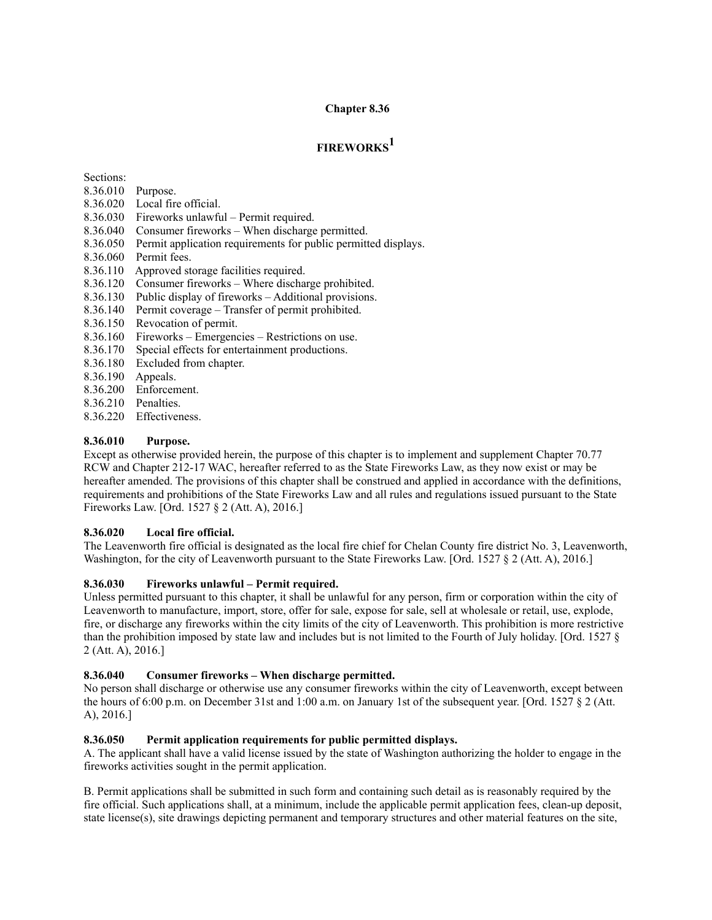### **Chapter 8.36**

# **FIREWORKS<sup>1</sup>**

Sections:

- 8.36.010 Purpose.
- 8.36.020 Local fire official.
- 8.36.030 Fireworks unlawful Permit required.
- 8.36.040 Consumer fireworks When discharge permitted.
- 8.36.050 Permit application requirements for public permitted displays.
- 8.36.060 Permit fees.
- 8.36.110 Approved storage facilities required.
- 8.36.120 Consumer fireworks Where discharge prohibited.
- 8.36.130 Public display of fireworks Additional provisions.
- 8.36.140 Permit coverage Transfer of permit prohibited.
- 8.36.150 Revocation of permit.
- 8.36.160 Fireworks Emergencies Restrictions on use.
- 8.36.170 Special effects for entertainment productions.
- 8.36.180 Excluded from chapter.
- 8.36.190 Appeals.
- 8.36.200 Enforcement.
- 8.36.210 Penalties.
- 8.36.220 Effectiveness.

### **8.36.010 Purpose.**

Except as otherwise provided herein, the purpose of this chapter is to implement and supplement Chapter 70.77 RCW and Chapter 212-17 WAC, hereafter referred to as the State Fireworks Law, as they now exist or may be hereafter amended. The provisions of this chapter shall be construed and applied in accordance with the definitions, requirements and prohibitions of the State Fireworks Law and all rules and regulations issued pursuant to the State Fireworks Law. [Ord. 1527 § 2 (Att. A), 2016.]

### **8.36.020 Local fire official.**

The Leavenworth fire official is designated as the local fire chief for Chelan County fire district No. 3, Leavenworth, Washington, for the city of Leavenworth pursuant to the State Fireworks Law. [Ord. 1527 § 2 (Att. A), 2016.]

### **8.36.030 Fireworks unlawful – Permit required.**

Unless permitted pursuant to this chapter, it shall be unlawful for any person, firm or corporation within the city of Leavenworth to manufacture, import, store, offer for sale, expose for sale, sell at wholesale or retail, use, explode, fire, or discharge any fireworks within the city limits of the city of Leavenworth. This prohibition is more restrictive than the prohibition imposed by state law and includes but is not limited to the Fourth of July holiday. [Ord. 1527 § 2 (Att. A), 2016.]

### **8.36.040 Consumer fireworks – When discharge permitted.**

No person shall discharge or otherwise use any consumer fireworks within the city of Leavenworth, except between the hours of 6:00 p.m. on December 31st and 1:00 a.m. on January 1st of the subsequent year. [Ord. 1527 § 2 (Att. A), 2016.]

### **8.36.050 Permit application requirements for public permitted displays.**

A. The applicant shall have a valid license issued by the state of Washington authorizing the holder to engage in the fireworks activities sought in the permit application.

B. Permit applications shall be submitted in such form and containing such detail as is reasonably required by the fire official. Such applications shall, at a minimum, include the applicable permit application fees, clean-up deposit, state license(s), site drawings depicting permanent and temporary structures and other material features on the site,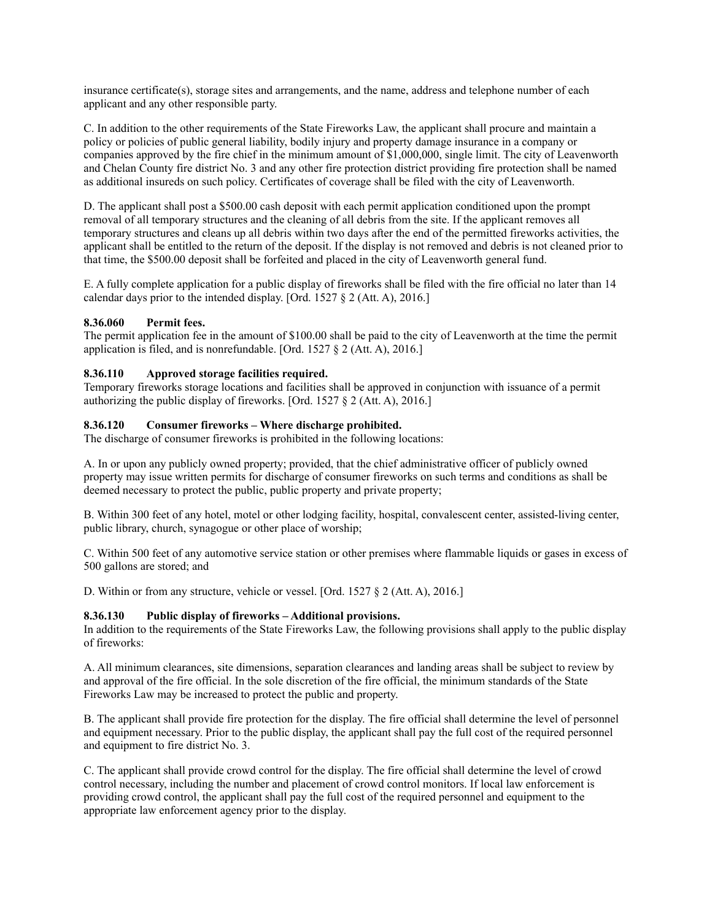insurance certificate(s), storage sites and arrangements, and the name, address and telephone number of each applicant and any other responsible party.

C. In addition to the other requirements of the State Fireworks Law, the applicant shall procure and maintain a policy or policies of public general liability, bodily injury and property damage insurance in a company or companies approved by the fire chief in the minimum amount of \$1,000,000, single limit. The city of Leavenworth and Chelan County fire district No. 3 and any other fire protection district providing fire protection shall be named as additional insureds on such policy. Certificates of coverage shall be filed with the city of Leavenworth.

D. The applicant shall post a \$500.00 cash deposit with each permit application conditioned upon the prompt removal of all temporary structures and the cleaning of all debris from the site. If the applicant removes all temporary structures and cleans up all debris within two days after the end of the permitted fireworks activities, the applicant shall be entitled to the return of the deposit. If the display is not removed and debris is not cleaned prior to that time, the \$500.00 deposit shall be forfeited and placed in the city of Leavenworth general fund.

E. A fully complete application for a public display of fireworks shall be filed with the fire official no later than 14 calendar days prior to the intended display. [Ord. 1527 § 2 (Att. A), 2016.]

#### **8.36.060 Permit fees.**

The permit application fee in the amount of \$100.00 shall be paid to the city of Leavenworth at the time the permit application is filed, and is nonrefundable. [Ord. 1527 § 2 (Att. A), 2016.]

#### **8.36.110 Approved storage facilities required.**

Temporary fireworks storage locations and facilities shall be approved in conjunction with issuance of a permit authorizing the public display of fireworks. [Ord. 1527 § 2 (Att. A), 2016.]

#### **8.36.120 Consumer fireworks – Where discharge prohibited.**

The discharge of consumer fireworks is prohibited in the following locations:

A. In or upon any publicly owned property; provided, that the chief administrative officer of publicly owned property may issue written permits for discharge of consumer fireworks on such terms and conditions as shall be deemed necessary to protect the public, public property and private property;

B. Within 300 feet of any hotel, motel or other lodging facility, hospital, convalescent center, assisted-living center, public library, church, synagogue or other place of worship;

C. Within 500 feet of any automotive service station or other premises where flammable liquids or gases in excess of 500 gallons are stored; and

D. Within or from any structure, vehicle or vessel. [Ord. 1527 § 2 (Att. A), 2016.]

#### **8.36.130 Public display of fireworks – Additional provisions.**

In addition to the requirements of the State Fireworks Law, the following provisions shall apply to the public display of fireworks:

A. All minimum clearances, site dimensions, separation clearances and landing areas shall be subject to review by and approval of the fire official. In the sole discretion of the fire official, the minimum standards of the State Fireworks Law may be increased to protect the public and property.

B. The applicant shall provide fire protection for the display. The fire official shall determine the level of personnel and equipment necessary. Prior to the public display, the applicant shall pay the full cost of the required personnel and equipment to fire district No. 3.

C. The applicant shall provide crowd control for the display. The fire official shall determine the level of crowd control necessary, including the number and placement of crowd control monitors. If local law enforcement is providing crowd control, the applicant shall pay the full cost of the required personnel and equipment to the appropriate law enforcement agency prior to the display.